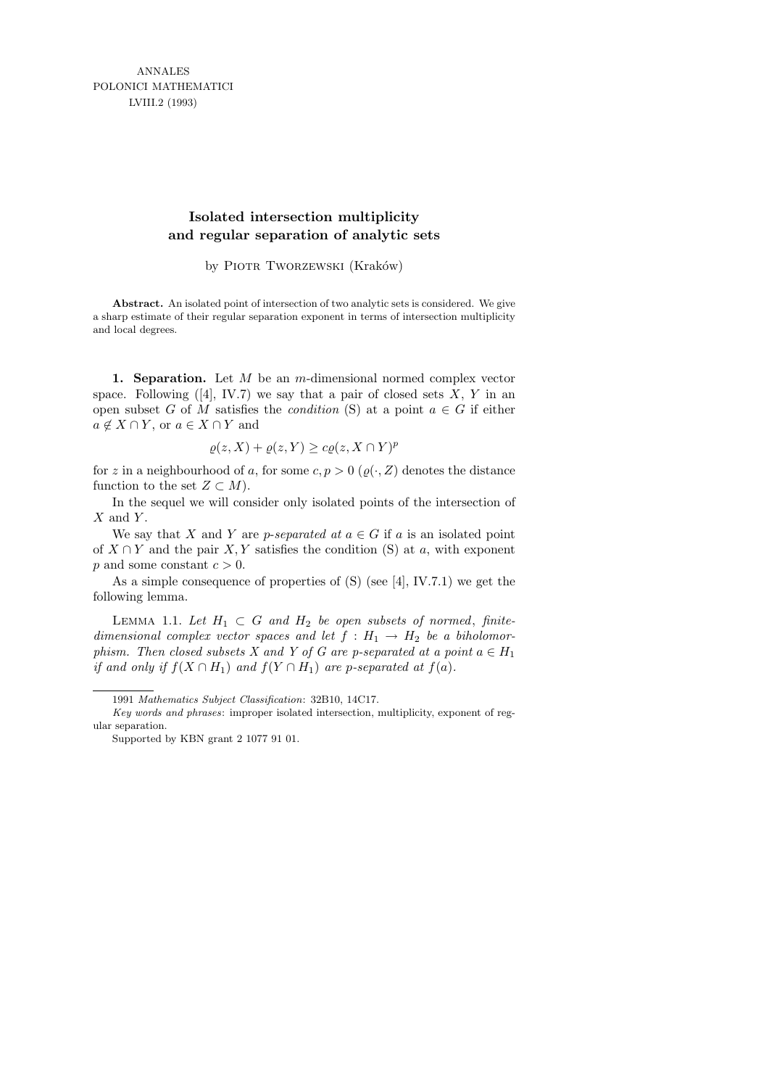ANNALES POLONICI MATHEMATICI LVIII.2 (1993)

## **Isolated intersection multiplicity and regular separation of analytic sets**

by PIOTR TWORZEWSKI (Kraków)

**Abstract.** An isolated point of intersection of two analytic sets is considered. We give a sharp estimate of their regular separation exponent in terms of intersection multiplicity and local degrees.

1. Separation. Let  $M$  be an m-dimensional normed complex vector space. Following  $([4], IV.7)$  we say that a pair of closed sets X, Y in an open subset G of M satisfies the *condition* (S) at a point  $a \in G$  if either  $a \notin X \cap Y$ , or  $a \in X \cap Y$  and

$$
\varrho(z, X) + \varrho(z, Y) \ge c\varrho(z, X \cap Y)^p
$$

for z in a neighbourhood of a, for some  $c, p > 0$  ( $\varrho(\cdot, Z)$ ) denotes the distance function to the set  $Z \subset M$ ).

In the sequel we will consider only isolated points of the intersection of  $X$  and  $Y$ .

We say that X and Y are p-separated at  $a \in G$  if a is an isolated point of  $X \cap Y$  and the pair  $X, Y$  satisfies the condition (S) at a, with exponent p and some constant  $c > 0$ .

As a simple consequence of properties of (S) (see [4], IV.7.1) we get the following lemma.

LEMMA 1.1. Let  $H_1 \subset G$  and  $H_2$  be open subsets of normed, finitedimensional complex vector spaces and let  $f : H_1 \to H_2$  be a biholomorphism. Then closed subsets X and Y of G are p-separated at a point  $a \in H_1$ if and only if  $f(X \cap H_1)$  and  $f(Y \cap H_1)$  are p-separated at  $f(a)$ .

<sup>1991</sup> *Mathematics Subject Classification*: 32B10, 14C17.

*Key words and phrases*: improper isolated intersection, multiplicity, exponent of regular separation.

Supported by KBN grant 2 1077 91 01.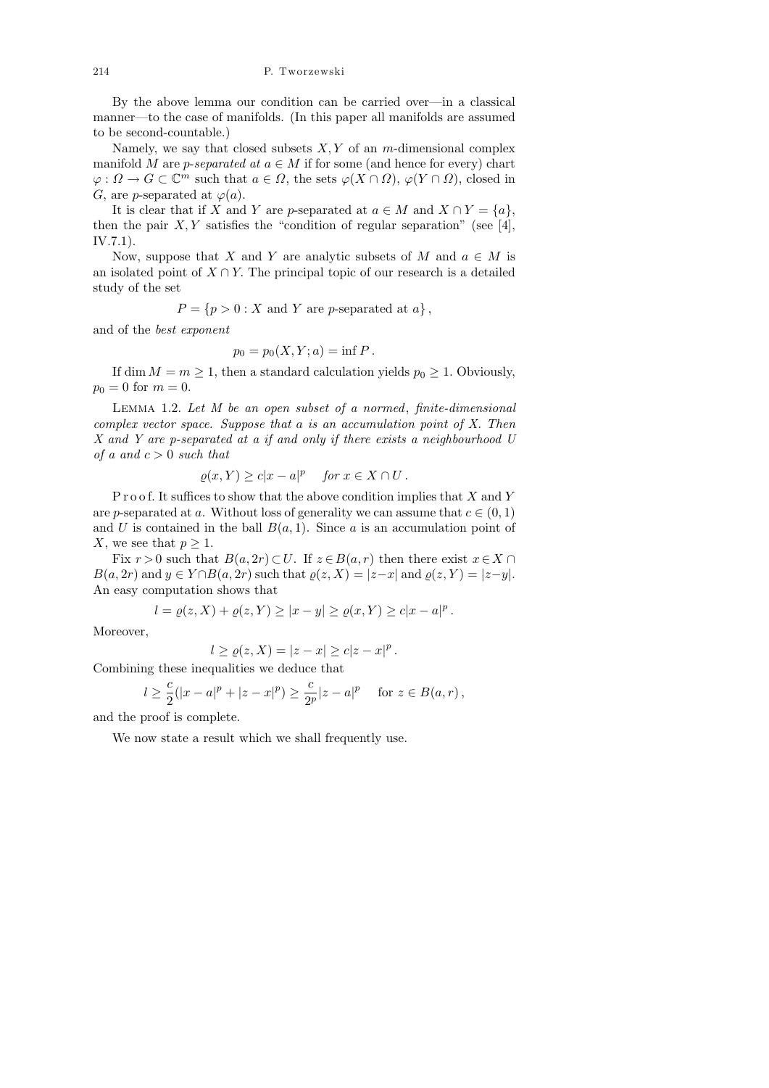By the above lemma our condition can be carried over—in a classical manner—to the case of manifolds. (In this paper all manifolds are assumed to be second-countable.)

Namely, we say that closed subsets  $X, Y$  of an m-dimensional complex manifold M are p-separated at  $a \in M$  if for some (and hence for every) chart  $\varphi: \Omega \to G \subset \mathbb{C}^m$  such that  $a \in \Omega$ , the sets  $\varphi(X \cap \Omega)$ ,  $\varphi(Y \cap \Omega)$ , closed in G, are p-separated at  $\varphi(a)$ .

It is clear that if X and Y are p-separated at  $a \in M$  and  $X \cap Y = \{a\}$ . then the pair  $X, Y$  satisfies the "condition of regular separation" (see [4], IV.7.1).

Now, suppose that X and Y are analytic subsets of M and  $a \in M$  is an isolated point of  $X \cap Y$ . The principal topic of our research is a detailed study of the set

 $P = \{p > 0 : X \text{ and } Y \text{ are } p\text{-separated at } a\},\$ 

and of the best exponent

$$
p_0 = p_0(X, Y; a) = \inf P.
$$

If dim  $M = m \geq 1$ , then a standard calculation yields  $p_0 \geq 1$ . Obviously,  $p_0 = 0$  for  $m = 0$ .

LEMMA 1.2. Let  $M$  be an open subset of a normed, finite-dimensional complex vector space. Suppose that a is an accumulation point of X. Then X and Y are p-separated at a if and only if there exists a neighbourhood U of a and  $c > 0$  such that

$$
\varrho(x,Y) \ge c|x - a|^p \quad \text{for } x \in X \cap U.
$$

P r o o f. It suffices to show that the above condition implies that  $X$  and Y are p-separated at a. Without loss of generality we can assume that  $c \in (0, 1)$ and U is contained in the ball  $B(a, 1)$ . Since a is an accumulation point of X, we see that  $p \geq 1$ .

Fix  $r > 0$  such that  $B(a, 2r) \subset U$ . If  $z \in B(a, r)$  then there exist  $x \in X \cap$  $B(a, 2r)$  and  $y \in Y \cap B(a, 2r)$  such that  $\varrho(z, X) = |z-x|$  and  $\varrho(z, Y) = |z-y|$ . An easy computation shows that

$$
l = \varrho(z, X) + \varrho(z, Y) \ge |x - y| \ge \varrho(x, Y) \ge c|x - a|^p
$$
.

Moreover,

$$
l \ge \varrho(z, X) = |z - x| \ge c|z - x|^p.
$$

Combining these inequalities we deduce that

$$
l \ge \frac{c}{2}(|x-a|^p + |z-x|^p) \ge \frac{c}{2^p}|z-a|^p
$$
 for  $z \in B(a,r)$ ,

and the proof is complete.

We now state a result which we shall frequently use.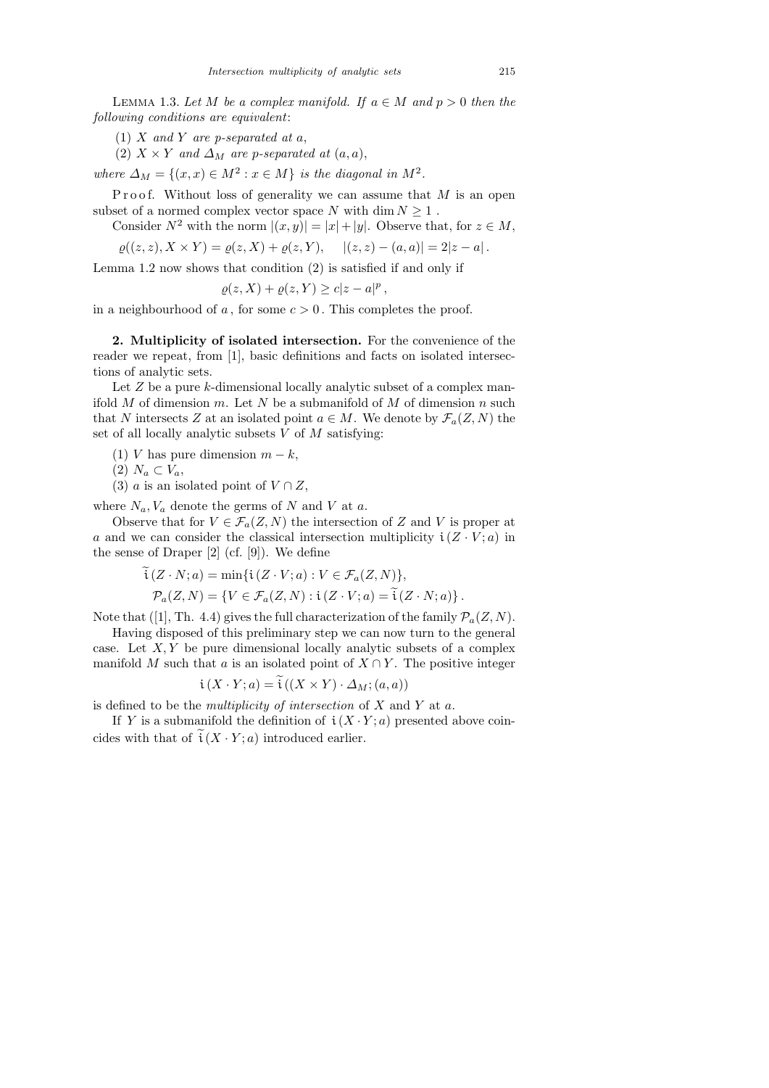LEMMA 1.3. Let M be a complex manifold. If  $a \in M$  and  $p > 0$  then the following conditions are equivalent:

(1)  $X$  and  $Y$  are p-separated at  $a$ ,

(2)  $X \times Y$  and  $\Delta_M$  are p-separated at  $(a, a)$ ,

where  $\Delta_M = \{(x, x) \in M^2 : x \in M\}$  is the diagonal in  $M^2$ .

P r o o f. Without loss of generality we can assume that  $M$  is an open subset of a normed complex vector space N with  $\dim N \geq 1$ .

Consider 
$$
N^2
$$
 with the norm  $|(x, y)| = |x| + |y|$ . Observe that, for  $z \in M$ ,

 $\varrho((z, z), X \times Y) = \varrho(z, X) + \varrho(z, Y), \quad |(z, z) - (a, a)| = 2|z - a|.$ 

Lemma 1.2 now shows that condition 
$$
(2)
$$
 is satisfied if and only if

$$
\varrho(z, X) + \varrho(z, Y) \ge c|z - a|^p,
$$

in a neighbourhood of a, for some  $c > 0$ . This completes the proof.

2. Multiplicity of isolated intersection. For the convenience of the reader we repeat, from [1], basic definitions and facts on isolated intersections of analytic sets.

Let  $Z$  be a pure  $k$ -dimensional locally analytic subset of a complex manifold  $M$  of dimension  $m$ . Let  $N$  be a submanifold of  $M$  of dimension  $n$  such that N intersects Z at an isolated point  $a \in M$ . We denote by  $\mathcal{F}_a(Z, N)$  the set of all locally analytic subsets  $V$  of  $M$  satisfying:

(1) V has pure dimension 
$$
m - k
$$
,

 $(2)$   $N_a \subset V_a$ ,

(3) *a* is an isolated point of  $V \cap Z$ ,

where  $N_a$ ,  $V_a$  denote the germs of N and V at a.

Observe that for  $V \in \mathcal{F}_a(Z, N)$  the intersection of Z and V is proper at a and we can consider the classical intersection multiplicity  $i(Z \cdot V; a)$  in the sense of Draper [2] (cf. [9]). We define

$$
\widetilde{\mathfrak{t}}(Z \cdot N; a) = \min{\{\mathfrak{t}(Z \cdot V; a) : V \in \mathcal{F}_a(Z, N)\},\}
$$
\n
$$
\mathcal{P}_a(Z, N) = \{V \in \mathcal{F}_a(Z, N) : \mathfrak{t}(Z \cdot V; a) = \widetilde{\mathfrak{t}}(Z \cdot N; a)\}.
$$

Note that ([1], Th. 4.4) gives the full characterization of the family  $\mathcal{P}_a(Z, N)$ .

Having disposed of this preliminary step we can now turn to the general case. Let  $X, Y$  be pure dimensional locally analytic subsets of a complex manifold M such that a is an isolated point of  $X \cap Y$ . The positive integer

$$
\mathfrak{i}\left(X \cdot Y; a\right) = \mathfrak{i}\left(\left(X \times Y\right) \cdot \Delta_M; (a, a)\right)
$$

is defined to be the *multiplicity of intersection* of  $X$  and  $Y$  at  $a$ .

If Y is a submanifold the definition of  $\mathfrak{i}(X \cdot Y; a)$  presented above coincides with that of  $i(X \cdot Y; a)$  introduced earlier.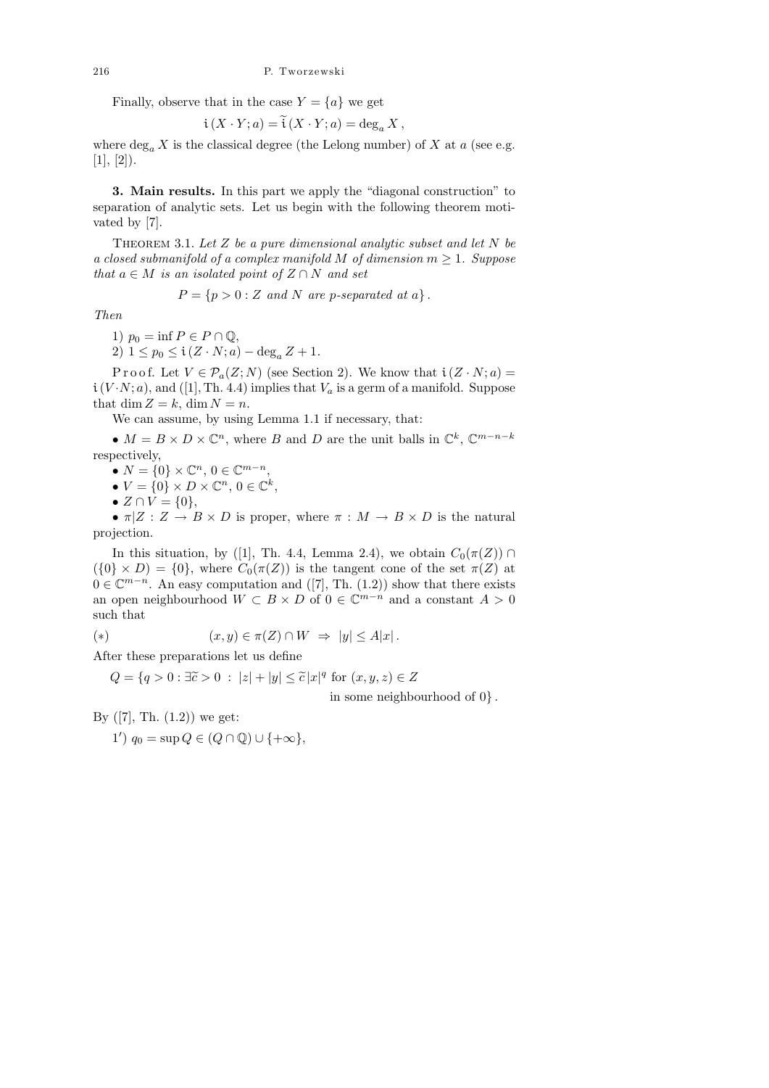Finally, observe that in the case  $Y = \{a\}$  we get

$$
\mathfrak{i}\left(X\cdot Y;a\right)=\mathfrak{i}\left(X\cdot Y;a\right)=\deg_{a}X\,,
$$

where  $\deg_a X$  is the classical degree (the Lelong number) of X at a (see e.g.  $[1], [2]$ .

3. Main results. In this part we apply the "diagonal construction" to separation of analytic sets. Let us begin with the following theorem motivated by [7].

THEOREM 3.1. Let  $Z$  be a pure dimensional analytic subset and let  $N$  be a closed submanifold of a complex manifold M of dimension  $m \geq 1$ . Suppose that  $a \in M$  is an isolated point of  $Z \cap N$  and set

$$
P = \{ p > 0 : Z \text{ and } N \text{ are } p\text{-separated at } a \} .
$$

Then

1)  $p_0 = \inf P \in P \cap \mathbb{Q}$ , 2)  $1 \leq p_0 \leq \mathfrak{i} (Z \cdot N; a) - \deg_a Z + 1.$ 

P r o o f. Let  $V \in \mathcal{P}_a(Z; N)$  (see Section 2). We know that  $\mathfrak{i}(Z \cdot N; a) =$  $i(V \cdot N; a)$ , and ([1], Th. 4.4) implies that  $V_a$  is a germ of a manifold. Suppose that dim  $Z = k$ , dim  $N = n$ .

We can assume, by using Lemma 1.1 if necessary, that:

•  $M = B \times D \times \mathbb{C}^n$ , where B and D are the unit balls in  $\mathbb{C}^k$ ,  $\mathbb{C}^{m-n-k}$ respectively,

•  $N = \{0\} \times \mathbb{C}^n, 0 \in \mathbb{C}^{m-n},$ 

•  $V = \{0\} \times D \times \mathbb{C}^n, 0 \in \mathbb{C}^k,$ 

•  $Z \cap V = \{0\},\,$ 

•  $\pi|Z: Z \to B \times D$  is proper, where  $\pi: M \to B \times D$  is the natural projection.

In this situation, by ([1], Th. 4.4, Lemma 2.4), we obtain  $C_0(\pi(Z)) \cap$  $(\{0\} \times D) = \{0\}$ , where  $C_0(\pi(Z))$  is the tangent cone of the set  $\pi(Z)$  at  $0 \in \mathbb{C}^{m-n}$ . An easy computation and ([7], Th. (1.2)) show that there exists an open neighbourhood  $W \subset B \times D$  of  $0 \in \mathbb{C}^{m-n}$  and a constant  $A > 0$ such that

(\*) 
$$
(x, y) \in \pi(Z) \cap W \implies |y| \leq A|x|.
$$

After these preparations let us define

 $Q = \{q > 0 : \exists \tilde{c} > 0 : |z| + |y| \leq \tilde{c} |x|^q \text{ for } (x, y, z) \in Z\}$ 

in some neighbourhood of 0} .

By  $([7], Th. (1.2))$  we get:

1')  $q_0 = \sup Q \in (Q \cap \mathbb{Q}) \cup \{+\infty\},\$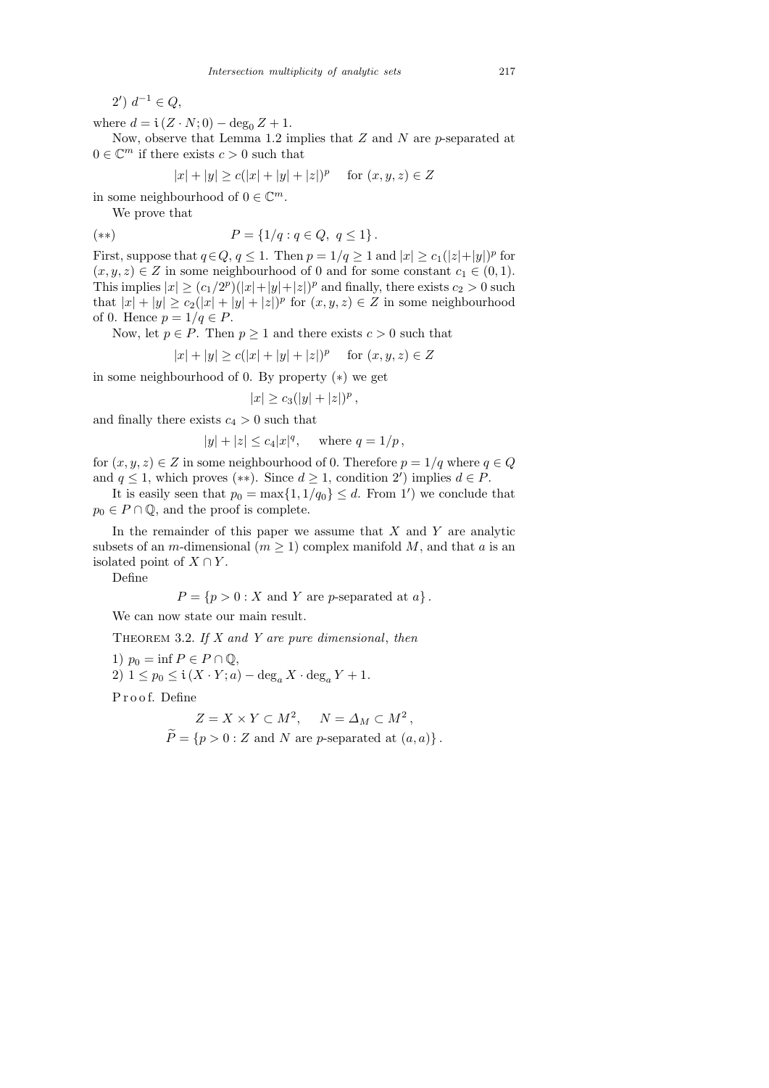$2') d^{-1} \in Q,$ 

where  $d = i(Z \cdot N; 0) - \deg_0 Z + 1$ .

Now, observe that Lemma 1.2 implies that  $Z$  and  $N$  are  $p$ -separated at  $0 \in \mathbb{C}^m$  if there exists  $c > 0$  such that

$$
|x| + |y| \ge c(|x| + |y| + |z|)^p \quad \text{for } (x, y, z) \in Z
$$

in some neighbourhood of  $0 \in \mathbb{C}^m$ .

We prove that

$$
(*) \t P = \{1/q : q \in Q, q \le 1\}.
$$

First, suppose that  $q \in Q$ ,  $q \leq 1$ . Then  $p = 1/q \geq 1$  and  $|x| \geq c_1(|z|+|y|)^p$  for  $(x, y, z) \in Z$  in some neighbourhood of 0 and for some constant  $c_1 \in (0, 1)$ . This implies  $|x| \ge (c_1/2^p)(|x|+|y|+|z|)^p$  and finally, there exists  $c_2 > 0$  such that  $|x| + |y| \ge c_2(|x| + |y| + |z|)^p$  for  $(x, y, z) \in Z$  in some neighbourhood of 0. Hence  $p = 1/q \in P$ .

Now, let  $p \in P$ . Then  $p \ge 1$  and there exists  $c > 0$  such that

$$
|x| + |y| \ge c(|x| + |y| + |z|)^p \quad \text{for } (x, y, z) \in Z
$$

in some neighbourhood of 0. By property (∗) we get

$$
|x| \ge c_3(|y| + |z|)^p,
$$

and finally there exists  $c_4 > 0$  such that

$$
|y| + |z| \le c_4 |x|^q
$$
, where  $q = 1/p$ ,

for  $(x, y, z) \in Z$  in some neighbourhood of 0. Therefore  $p = 1/q$  where  $q \in Q$ and  $q \leq 1$ , which proves  $(**)$ . Since  $d \geq 1$ , condition 2') implies  $d \in P$ .

It is easily seen that  $p_0 = \max\{1, 1/q_0\} \le d$ . From 1') we conclude that  $p_0 \in P \cap \mathbb{Q}$ , and the proof is complete.

In the remainder of this paper we assume that  $X$  and  $Y$  are analytic subsets of an *m*-dimensional ( $m \geq 1$ ) complex manifold M, and that a is an isolated point of  $X \cap Y$ .

Define

 $P = \{p > 0 : X \text{ and } Y \text{ are } p\text{-separated at } a\}.$ 

We can now state our main result.

THEOREM 3.2. If  $X$  and  $Y$  are pure dimensional, then

1)  $p_0 = \inf P \in P \cap \mathbb{Q}$ , 2)  $1 \leq p_0 \leq \mathfrak{i} (X \cdot Y; a) - \deg_a X \cdot \deg_a Y + 1.$ 

Proof. Define

$$
Z = X \times Y \subset M^2, \quad N = \Delta_M \subset M^2,
$$
  

$$
\widetilde{P} = \{p > 0 : Z \text{ and } N \text{ are } p\text{-separated at } (a, a)\}.
$$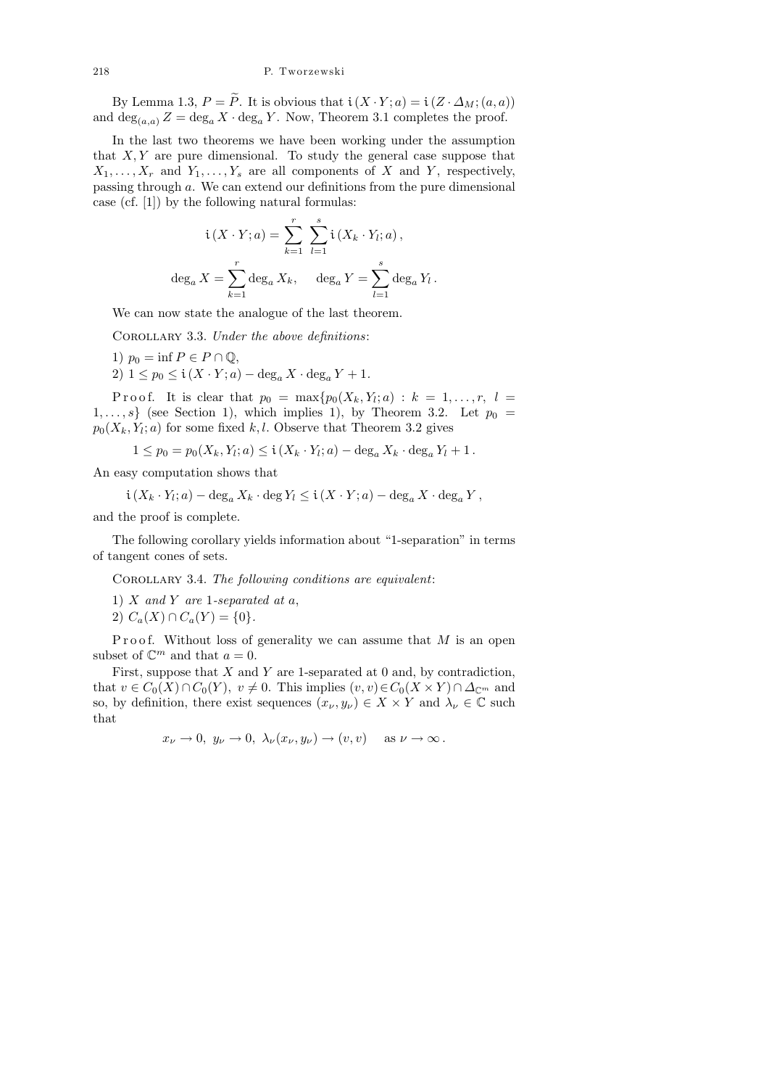By Lemma 1.3,  $P = \tilde{P}$ . It is obvious that  $i(X \cdot Y; a) = i(Z \cdot \Delta_M; (a, a))$ and  $\deg_{(a,a)} Z = \deg_a X \cdot \deg_a Y$ . Now, Theorem 3.1 completes the proof.

In the last two theorems we have been working under the assumption that  $X, Y$  are pure dimensional. To study the general case suppose that  $X_1, \ldots, X_r$  and  $Y_1, \ldots, Y_s$  are all components of X and Y, respectively, passing through a. We can extend our definitions from the pure dimensional case (cf. [1]) by the following natural formulas:

$$
i(X \cdot Y; a) = \sum_{k=1}^{r} \sum_{l=1}^{s} i(X_k \cdot Y_l; a),
$$
  

$$
\deg_a X = \sum_{k=1}^{r} \deg_a X_k, \quad \deg_a Y = \sum_{l=1}^{s} \deg_a Y_l.
$$

We can now state the analogue of the last theorem.

COROLLARY 3.3. Under the above definitions:

1)  $p_0 = \inf P \in P \cap \mathbb{Q}$ , 2)  $1 \leq p_0 \leq \mathfrak{i}(X \cdot Y; a) - \deg_a X \cdot \deg_a Y + 1.$ 

P r o o f. It is clear that  $p_0 = \max\{p_0(X_k,Y_l;a) : k = 1,\ldots,r, l\}$  $1, \ldots, s$  (see Section 1), which implies 1), by Theorem 3.2. Let  $p_0 =$  $p_0(X_k, Y_l; a)$  for some fixed k, l. Observe that Theorem 3.2 gives

$$
1 \le p_0 = p_0(X_k, Y_l; a) \le \mathfrak{i}(X_k \cdot Y_l; a) - \deg_a X_k \cdot \deg_a Y_l + 1.
$$

An easy computation shows that

 $\mathfrak{i}(X_k \cdot Y_l; a) - \deg_a X_k \cdot \deg Y_l \leq \mathfrak{i}(X \cdot Y; a) - \deg_a X \cdot \deg_a Y,$ 

and the proof is complete.

The following corollary yields information about "1-separation" in terms of tangent cones of sets.

COROLLARY 3.4. The following conditions are equivalent:

- 1)  $X$  and  $Y$  are 1-separated at  $a$ ,
- 2)  $C_a(X) \cap C_a(Y) = \{0\}.$

Proof. Without loss of generality we can assume that  $M$  is an open subset of  $\mathbb{C}^m$  and that  $a=0$ .

First, suppose that  $X$  and  $Y$  are 1-separated at 0 and, by contradiction, that  $v \in C_0(X) \cap C_0(Y)$ ,  $v \neq 0$ . This implies  $(v, v) \in C_0(X \times Y) \cap \Delta_{\mathbb{C}^m}$  and so, by definition, there exist sequences  $(x_{\nu}, y_{\nu}) \in X \times Y$  and  $\lambda_{\nu} \in \mathbb{C}$  such that

$$
x_{\nu} \to 0
$$
,  $y_{\nu} \to 0$ ,  $\lambda_{\nu}(x_{\nu}, y_{\nu}) \to (v, v)$  as  $\nu \to \infty$ .